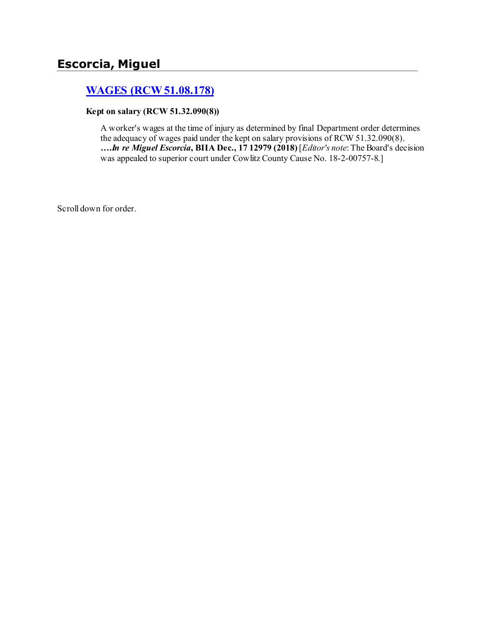# **[WAGES \(RCW 51.08.178\)](http://www.biia.wa.gov/SDSubjectIndex.html#WAGES)**

#### **Kept on salary (RCW 51.32.090(8))**

A worker's wages at the time of injury as determined by final Department order determines the adequacy of wages paid under the kept on salary provisions of RCW 51.32.090(8). **….***In re Miguel Escorcia***, BIIA Dec., 17 12979 (2018)** [*Editor's note*: The Board's decision was appealed to superior court under Cowlitz County Cause No. 18-2-00757-8.]

Scroll down for order.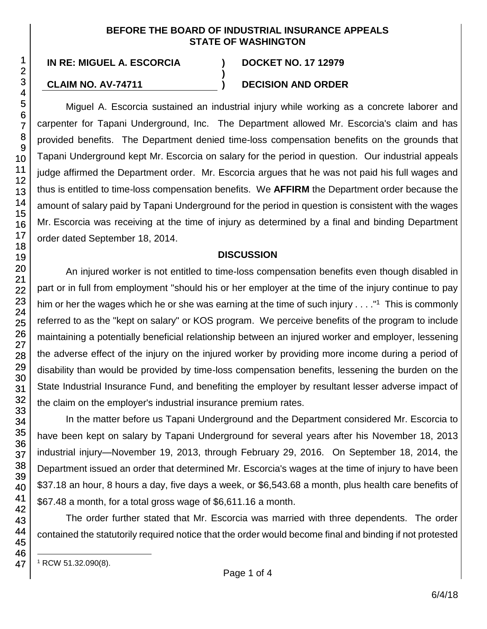#### **BEFORE THE BOARD OF INDUSTRIAL INSURANCE APPEALS STATE OF WASHINGTON**

**)**

**IN RE: MIGUEL A. ESCORCIA ) DOCKET NO. 17 12979**

## **CLAIM NO. AV-74711 ) DECISION AND ORDER**

Miguel A. Escorcia sustained an industrial injury while working as a concrete laborer and carpenter for Tapani Underground, Inc. The Department allowed Mr. Escorcia's claim and has provided benefits. The Department denied time-loss compensation benefits on the grounds that Tapani Underground kept Mr. Escorcia on salary for the period in question. Our industrial appeals judge affirmed the Department order. Mr. Escorcia argues that he was not paid his full wages and thus is entitled to time-loss compensation benefits. We **AFFIRM** the Department order because the amount of salary paid by Tapani Underground for the period in question is consistent with the wages Mr. Escorcia was receiving at the time of injury as determined by a final and binding Department order dated September 18, 2014.

## **DISCUSSION**

An injured worker is not entitled to time-loss compensation benefits even though disabled in part or in full from employment "should his or her employer at the time of the injury continue to pay him or her the wages which he or she was earning at the time of such injury . . . ."<sup>1</sup> This is commonly referred to as the "kept on salary" or KOS program. We perceive benefits of the program to include maintaining a potentially beneficial relationship between an injured worker and employer, lessening the adverse effect of the injury on the injured worker by providing more income during a period of disability than would be provided by time-loss compensation benefits, lessening the burden on the State Industrial Insurance Fund, and benefiting the employer by resultant lesser adverse impact of the claim on the employer's industrial insurance premium rates.

In the matter before us Tapani Underground and the Department considered Mr. Escorcia to have been kept on salary by Tapani Underground for several years after his November 18, 2013 industrial injury—November 19, 2013, through February 29, 2016. On September 18, 2014, the Department issued an order that determined Mr. Escorcia's wages at the time of injury to have been \$37.18 an hour, 8 hours a day, five days a week, or \$6,543.68 a month, plus health care benefits of \$67.48 a month, for a total gross wage of \$6,611.16 a month.

The order further stated that Mr. Escorcia was married with three dependents. The order contained the statutorily required notice that the order would become final and binding if not protested

l <sup>1</sup> RCW 51.32.090(8).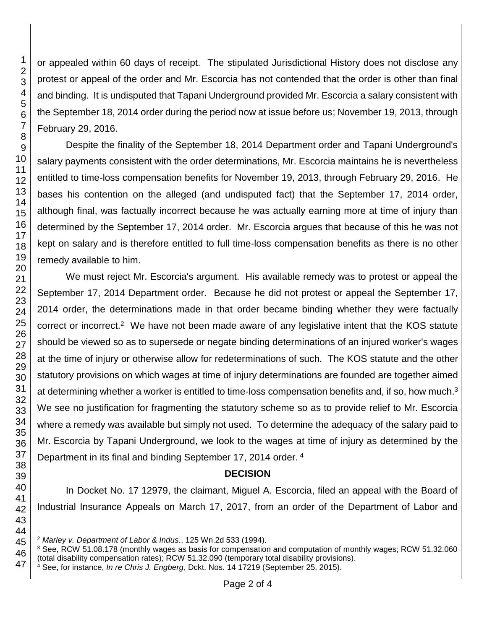or appealed within 60 days of receipt. The stipulated Jurisdictional History does not disclose any protest or appeal of the order and Mr. Escorcia has not contended that the order is other than final and binding. It is undisputed that Tapani Underground provided Mr. Escorcia a salary consistent with the September 18, 2014 order during the period now at issue before us; November 19, 2013, through February 29, 2016.

Despite the finality of the September 18, 2014 Department order and Tapani Underground's salary payments consistent with the order determinations, Mr. Escorcia maintains he is nevertheless entitled to time-loss compensation benefits for November 19, 2013, through February 29, 2016. He bases his contention on the alleged (and undisputed fact) that the September 17, 2014 order, although final, was factually incorrect because he was actually earning more at time of injury than determined by the September 17, 2014 order. Mr. Escorcia argues that because of this he was not kept on salary and is therefore entitled to full time-loss compensation benefits as there is no other remedy available to him.

We must reject Mr. Escorcia's argument. His available remedy was to protest or appeal the September 17, 2014 Department order. Because he did not protest or appeal the September 17, 2014 order, the determinations made in that order became binding whether they were factually correct or incorrect.<sup>2</sup> We have not been made aware of any legislative intent that the KOS statute should be viewed so as to supersede or negate binding determinations of an injured worker's wages at the time of injury or otherwise allow for redeterminations of such. The KOS statute and the other statutory provisions on which wages at time of injury determinations are founded are together aimed at determining whether a worker is entitled to time-loss compensation benefits and, if so, how much.We see no justification for fragmenting the statutory scheme so as to provide relief to Mr. Escorcia where a remedy was available but simply not used. To determine the adequacy of the salary paid to Mr. Escorcia by Tapani Underground, we look to the wages at time of injury as determined by the Department in its final and binding September 17, 2014 order. 4

## **DECISION**

In Docket No. 17 12979, the claimant, Miguel A. Escorcia, filed an appeal with the Board of Industrial Insurance Appeals on March 17, 2017, from an order of the Department of Labor and

l *Marley v. Department of Labor & Indus.*, 125 Wn.2d 533 (1994).

<sup>&</sup>lt;sup>3</sup> See, RCW 51.08.178 (monthly wages as basis for compensation and computation of monthly wages; RCW 51.32.060 (total disability compensation rates); RCW 51.32.090 (temporary total disability provisions).

See, for instance, *In re Chris J. Engberg*, Dckt. Nos. 14 17219 (September 25, 2015).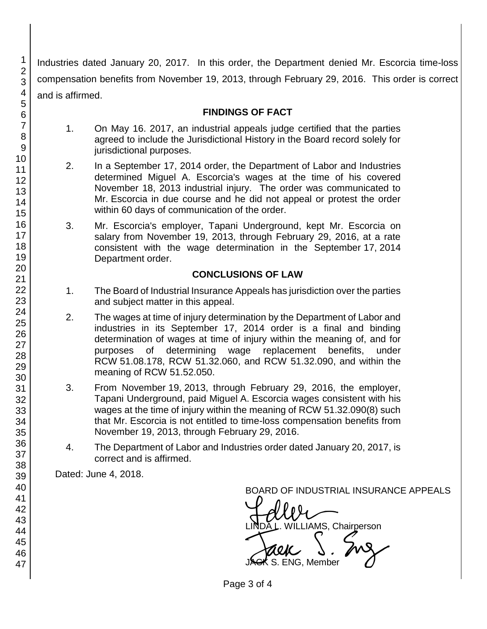Industries dated January 20, 2017. In this order, the Department denied Mr. Escorcia time-loss compensation benefits from November 19, 2013, through February 29, 2016. This order is correct and is affirmed.

## **FINDINGS OF FACT**

- 1. On May 16. 2017, an industrial appeals judge certified that the parties agreed to include the Jurisdictional History in the Board record solely for jurisdictional purposes.
- 2. In a September 17, 2014 order, the Department of Labor and Industries determined Miguel A. Escorcia's wages at the time of his covered November 18, 2013 industrial injury. The order was communicated to Mr. Escorcia in due course and he did not appeal or protest the order within 60 days of communication of the order.
- 3. Mr. Escorcia's employer, Tapani Underground, kept Mr. Escorcia on salary from November 19, 2013, through February 29, 2016, at a rate consistent with the wage determination in the September 17, 2014 Department order.

# **CONCLUSIONS OF LAW**

- 1. The Board of Industrial Insurance Appeals has jurisdiction over the parties and subject matter in this appeal.
- 2. The wages at time of injury determination by the Department of Labor and industries in its September 17, 2014 order is a final and binding determination of wages at time of injury within the meaning of, and for purposes of determining wage replacement benefits, under RCW 51.08.178, RCW 51.32.060, and RCW 51.32.090, and within the meaning of RCW 51.52.050.
- 3. From November 19, 2013, through February 29, 2016, the employer, Tapani Underground, paid Miguel A. Escorcia wages consistent with his wages at the time of injury within the meaning of RCW 51.32.090(8) such that Mr. Escorcia is not entitled to time-loss compensation benefits from November 19, 2013, through February 29, 2016.
- 4. The Department of Labor and Industries order dated January 20, 2017, is correct and is affirmed.

Dated: June 4, 2018.

BOARD OF INDUSTRIAL INSURANCE APPEALS

BOARD OF INDUSTRIAL INSURAM<br>LINDA L. WILLIAMS, Chairperson<br>JACK S. ENG, Member S. ENG. Member

Page 3 of 4